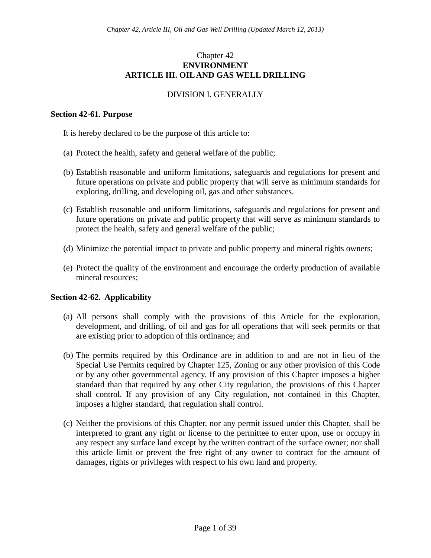# Chapter 42 **ENVIRONMENT ARTICLE III. OIL AND GAS WELL DRILLING**

# DIVISION I. GENERALLY

### **Section 42-61. Purpose**

It is hereby declared to be the purpose of this article to:

- (a) Protect the health, safety and general welfare of the public;
- (b) Establish reasonable and uniform limitations, safeguards and regulations for present and future operations on private and public property that will serve as minimum standards for exploring, drilling, and developing oil, gas and other substances.
- (c) Establish reasonable and uniform limitations, safeguards and regulations for present and future operations on private and public property that will serve as minimum standards to protect the health, safety and general welfare of the public;
- (d) Minimize the potential impact to private and public property and mineral rights owners;
- (e) Protect the quality of the environment and encourage the orderly production of available mineral resources;

## **Section 42-62. Applicability**

- (a) All persons shall comply with the provisions of this Article for the exploration, development, and drilling, of oil and gas for all operations that will seek permits or that are existing prior to adoption of this ordinance; and
- (b) The permits required by this Ordinance are in addition to and are not in lieu of the Special Use Permits required by Chapter 125, Zoning or any other provision of this Code or by any other governmental agency. If any provision of this Chapter imposes a higher standard than that required by any other City regulation, the provisions of this Chapter shall control. If any provision of any City regulation, not contained in this Chapter, imposes a higher standard, that regulation shall control.
- (c) Neither the provisions of this Chapter, nor any permit issued under this Chapter, shall be interpreted to grant any right or license to the permittee to enter upon, use or occupy in any respect any surface land except by the written contract of the surface owner; nor shall this article limit or prevent the free right of any owner to contract for the amount of damages, rights or privileges with respect to his own land and property.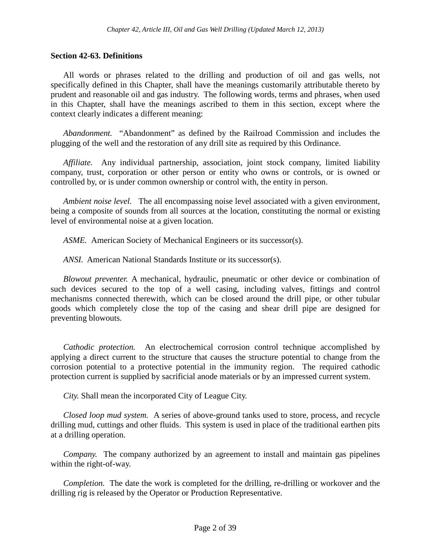## **Section 42-63. Definitions**

All words or phrases related to the drilling and production of oil and gas wells, not specifically defined in this Chapter, shall have the meanings customarily attributable thereto by prudent and reasonable oil and gas industry. The following words, terms and phrases, when used in this Chapter, shall have the meanings ascribed to them in this section, except where the context clearly indicates a different meaning:

*Abandonment.* "Abandonment" as defined by the Railroad Commission and includes the plugging of the well and the restoration of any drill site as required by this Ordinance.

*Affiliate.* Any individual partnership, association, joint stock company, limited liability company, trust, corporation or other person or entity who owns or controls, or is owned or controlled by, or is under common ownership or control with, the entity in person.

*Ambient noise level.* The all encompassing noise level associated with a given environment, being a composite of sounds from all sources at the location, constituting the normal or existing level of environmental noise at a given location.

*ASME.* American Society of Mechanical Engineers or its successor(s).

*ANSI.* American National Standards Institute or its successor(s).

*Blowout preventer.* A mechanical, hydraulic, pneumatic or other device or combination of such devices secured to the top of a well casing, including valves, fittings and control mechanisms connected therewith, which can be closed around the drill pipe, or other tubular goods which completely close the top of the casing and shear drill pipe are designed for preventing blowouts.

*Cathodic protection.* An electrochemical corrosion control technique accomplished by applying a direct current to the structure that causes the structure potential to change from the corrosion potential to a protective potential in the immunity region. The required cathodic protection current is supplied by sacrificial anode materials or by an impressed current system.

*City.* Shall mean the incorporated City of League City.

*Closed loop mud system.* A series of above-ground tanks used to store, process, and recycle drilling mud, cuttings and other fluids. This system is used in place of the traditional earthen pits at a drilling operation.

*Company.* The company authorized by an agreement to install and maintain gas pipelines within the right-of-way.

*Completion.* The date the work is completed for the drilling, re-drilling or workover and the drilling rig is released by the Operator or Production Representative.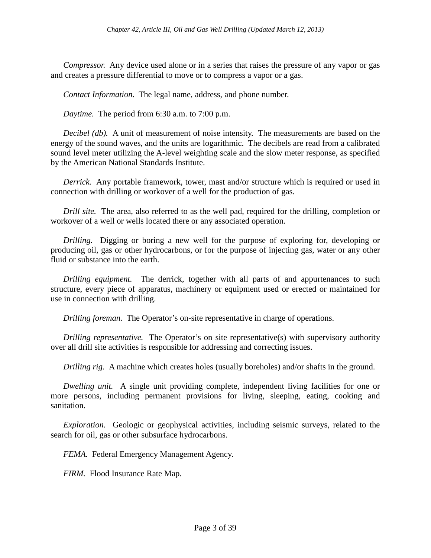*Compressor.* Any device used alone or in a series that raises the pressure of any vapor or gas and creates a pressure differential to move or to compress a vapor or a gas.

*Contact Information.* The legal name, address, and phone number.

*Daytime.* The period from 6:30 a.m. to 7:00 p.m.

*Decibel (db).* A unit of measurement of noise intensity. The measurements are based on the energy of the sound waves, and the units are logarithmic. The decibels are read from a calibrated sound level meter utilizing the A-level weighting scale and the slow meter response, as specified by the American National Standards Institute.

*Derrick.* Any portable framework, tower, mast and/or structure which is required or used in connection with drilling or workover of a well for the production of gas.

*Drill site.* The area, also referred to as the well pad, required for the drilling, completion or workover of a well or wells located there or any associated operation.

*Drilling.* Digging or boring a new well for the purpose of exploring for, developing or producing oil, gas or other hydrocarbons, or for the purpose of injecting gas, water or any other fluid or substance into the earth.

*Drilling equipment.* The derrick, together with all parts of and appurtenances to such structure, every piece of apparatus, machinery or equipment used or erected or maintained for use in connection with drilling.

*Drilling foreman.* The Operator's on-site representative in charge of operations.

*Drilling representative.* The Operator's on site representative(s) with supervisory authority over all drill site activities is responsible for addressing and correcting issues.

*Drilling rig.* A machine which creates holes (usually boreholes) and/or shafts in the ground.

*Dwelling unit.* A single unit providing complete, independent living facilities for one or more persons, including permanent provisions for living, sleeping, eating, cooking and sanitation.

*Exploration.* Geologic or geophysical activities, including seismic surveys, related to the search for oil, gas or other subsurface hydrocarbons.

*FEMA.* Federal Emergency Management Agency.

*FIRM.* Flood Insurance Rate Map.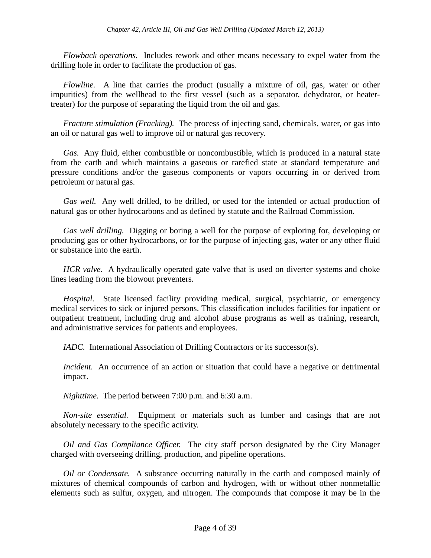*Flowback operations.* Includes rework and other means necessary to expel water from the drilling hole in order to facilitate the production of gas.

*Flowline.* A line that carries the product (usually a mixture of oil, gas, water or other impurities) from the wellhead to the first vessel (such as a separator, dehydrator, or heatertreater) for the purpose of separating the liquid from the oil and gas.

*Fracture stimulation (Fracking).* The process of injecting sand, chemicals, water, or gas into an oil or natural gas well to improve oil or natural gas recovery.

*Gas.* Any fluid, either combustible or noncombustible, which is produced in a natural state from the earth and which maintains a gaseous or rarefied state at standard temperature and pressure conditions and/or the gaseous components or vapors occurring in or derived from petroleum or natural gas.

*Gas well.* Any well drilled, to be drilled, or used for the intended or actual production of natural gas or other hydrocarbons and as defined by statute and the Railroad Commission.

*Gas well drilling.* Digging or boring a well for the purpose of exploring for, developing or producing gas or other hydrocarbons, or for the purpose of injecting gas, water or any other fluid or substance into the earth.

*HCR valve.* A hydraulically operated gate valve that is used on diverter systems and choke lines leading from the blowout preventers.

*Hospital.* State licensed facility providing medical, surgical, psychiatric, or emergency medical services to sick or injured persons. This classification includes facilities for inpatient or outpatient treatment, including drug and alcohol abuse programs as well as training, research, and administrative services for patients and employees.

*IADC.* International Association of Drilling Contractors or its successor(s).

*Incident.* An occurrence of an action or situation that could have a negative or detrimental impact.

*Nighttime.* The period between 7:00 p.m. and 6:30 a.m.

*Non-site essential.* Equipment or materials such as lumber and casings that are not absolutely necessary to the specific activity.

*Oil and Gas Compliance Officer.* The city staff person designated by the City Manager charged with overseeing drilling, production, and pipeline operations.

*Oil or Condensate.* A substance occurring naturally in the earth and composed mainly of mixtures of chemical compounds of carbon and hydrogen, with or without other nonmetallic elements such as sulfur, oxygen, and nitrogen. The compounds that compose it may be in the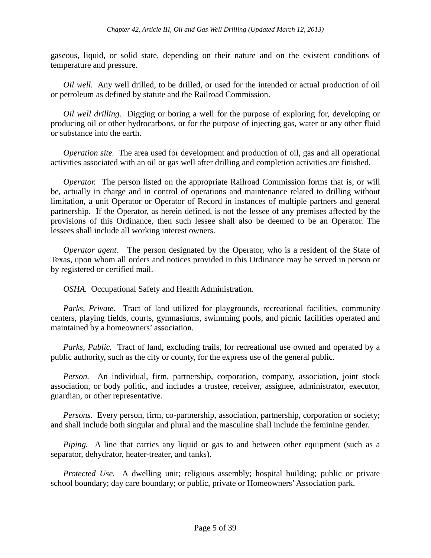gaseous, liquid, or solid state, depending on their nature and on the existent conditions of temperature and pressure.

*Oil well.* Any well drilled, to be drilled, or used for the intended or actual production of oil or petroleum as defined by statute and the Railroad Commission.

*Oil well drilling.* Digging or boring a well for the purpose of exploring for, developing or producing oil or other hydrocarbons, or for the purpose of injecting gas, water or any other fluid or substance into the earth.

*Operation site.* The area used for development and production of oil, gas and all operational activities associated with an oil or gas well after drilling and completion activities are finished.

*Operator.* The person listed on the appropriate Railroad Commission forms that is, or will be, actually in charge and in control of operations and maintenance related to drilling without limitation, a unit Operator or Operator of Record in instances of multiple partners and general partnership. If the Operator, as herein defined, is not the lessee of any premises affected by the provisions of this Ordinance, then such lessee shall also be deemed to be an Operator. The lessees shall include all working interest owners.

*Operator agent.* The person designated by the Operator, who is a resident of the State of Texas, upon whom all orders and notices provided in this Ordinance may be served in person or by registered or certified mail.

*OSHA.* Occupational Safety and Health Administration.

*Parks, Private.* Tract of land utilized for playgrounds, recreational facilities, community centers, playing fields, courts, gymnasiums, swimming pools, and picnic facilities operated and maintained by a homeowners' association.

*Parks, Public.* Tract of land, excluding trails, for recreational use owned and operated by a public authority, such as the city or county, for the express use of the general public.

*Person.* An individual, firm, partnership, corporation, company, association, joint stock association, or body politic, and includes a trustee, receiver, assignee, administrator, executor, guardian, or other representative.

*Persons.* Every person, firm, co-partnership, association, partnership, corporation or society; and shall include both singular and plural and the masculine shall include the feminine gender.

*Piping.* A line that carries any liquid or gas to and between other equipment (such as a separator, dehydrator, heater-treater, and tanks).

*Protected Use.* A dwelling unit; religious assembly; hospital building; public or private school boundary; day care boundary; or public, private or Homeowners' Association park.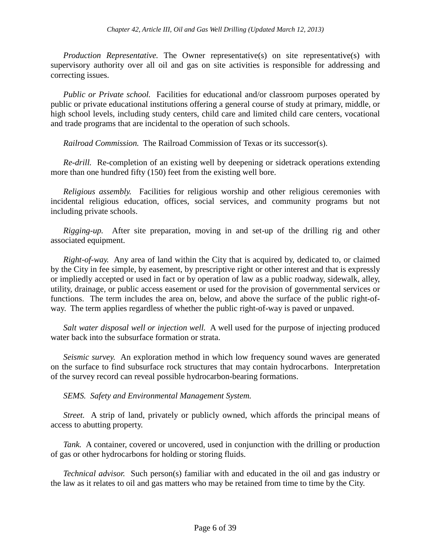*Production Representative.* The Owner representative(s) on site representative(s) with supervisory authority over all oil and gas on site activities is responsible for addressing and correcting issues.

*Public or Private school.* Facilities for educational and/or classroom purposes operated by public or private educational institutions offering a general course of study at primary, middle, or high school levels, including study centers, child care and limited child care centers, vocational and trade programs that are incidental to the operation of such schools.

*Railroad Commission.* The Railroad Commission of Texas or its successor(s).

*Re-drill.* Re-completion of an existing well by deepening or sidetrack operations extending more than one hundred fifty (150) feet from the existing well bore.

*Religious assembly.* Facilities for religious worship and other religious ceremonies with incidental religious education, offices, social services, and community programs but not including private schools.

*Rigging-up.* After site preparation, moving in and set-up of the drilling rig and other associated equipment.

*Right-of-way.* Any area of land within the City that is acquired by, dedicated to, or claimed by the City in fee simple, by easement, by prescriptive right or other interest and that is expressly or impliedly accepted or used in fact or by operation of law as a public roadway, sidewalk, alley, utility, drainage, or public access easement or used for the provision of governmental services or functions. The term includes the area on, below, and above the surface of the public right-ofway. The term applies regardless of whether the public right-of-way is paved or unpaved.

*Salt water disposal well or injection well.* A well used for the purpose of injecting produced water back into the subsurface formation or strata.

*Seismic survey.* An exploration method in which low frequency sound waves are generated on the surface to find subsurface rock structures that may contain hydrocarbons. Interpretation of the survey record can reveal possible hydrocarbon-bearing formations.

*SEMS. Safety and Environmental Management System.*

*Street.* A strip of land, privately or publicly owned, which affords the principal means of access to abutting property.

*Tank.* A container, covered or uncovered, used in conjunction with the drilling or production of gas or other hydrocarbons for holding or storing fluids.

*Technical advisor.* Such person(s) familiar with and educated in the oil and gas industry or the law as it relates to oil and gas matters who may be retained from time to time by the City.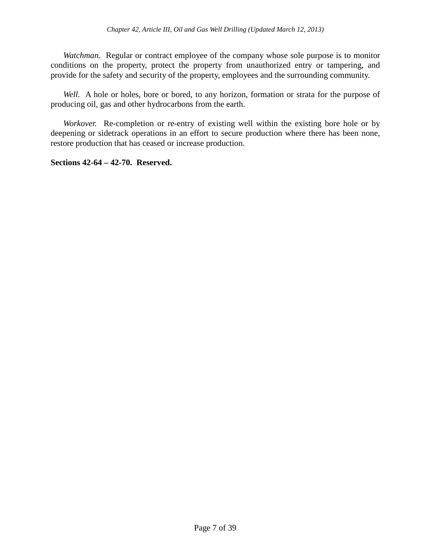*Watchman.* Regular or contract employee of the company whose sole purpose is to monitor conditions on the property, protect the property from unauthorized entry or tampering, and provide for the safety and security of the property, employees and the surrounding community.

Well. A hole or holes, bore or bored, to any horizon, formation or strata for the purpose of producing oil, gas and other hydrocarbons from the earth.

*Workover.* Re-completion or re-entry of existing well within the existing bore hole or by deepening or sidetrack operations in an effort to secure production where there has been none, restore production that has ceased or increase production.

**Sections 42-64 – 42-70. Reserved.**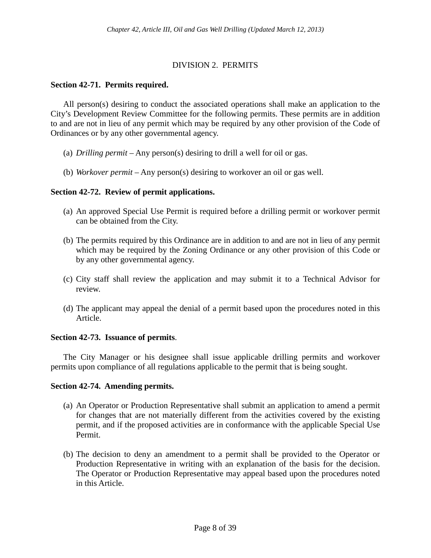# DIVISION 2. PERMITS

## **Section 42-71. Permits required.**

All person(s) desiring to conduct the associated operations shall make an application to the City's Development Review Committee for the following permits. These permits are in addition to and are not in lieu of any permit which may be required by any other provision of the Code of Ordinances or by any other governmental agency.

- (a) *Drilling permit –* Any person(s) desiring to drill a well for oil or gas.
- (b) *Workover permit* Any person(s) desiring to workover an oil or gas well.

## **Section 42-72. Review of permit applications.**

- (a) An approved Special Use Permit is required before a drilling permit or workover permit can be obtained from the City.
- (b) The permits required by this Ordinance are in addition to and are not in lieu of any permit which may be required by the Zoning Ordinance or any other provision of this Code or by any other governmental agency.
- (c) City staff shall review the application and may submit it to a Technical Advisor for review.
- (d) The applicant may appeal the denial of a permit based upon the procedures noted in this Article.

## **Section 42-73. Issuance of permits**.

The City Manager or his designee shall issue applicable drilling permits and workover permits upon compliance of all regulations applicable to the permit that is being sought.

## **Section 42-74. Amending permits.**

- (a) An Operator or Production Representative shall submit an application to amend a permit for changes that are not materially different from the activities covered by the existing permit, and if the proposed activities are in conformance with the applicable Special Use Permit.
- (b) The decision to deny an amendment to a permit shall be provided to the Operator or Production Representative in writing with an explanation of the basis for the decision. The Operator or Production Representative may appeal based upon the procedures noted in this Article.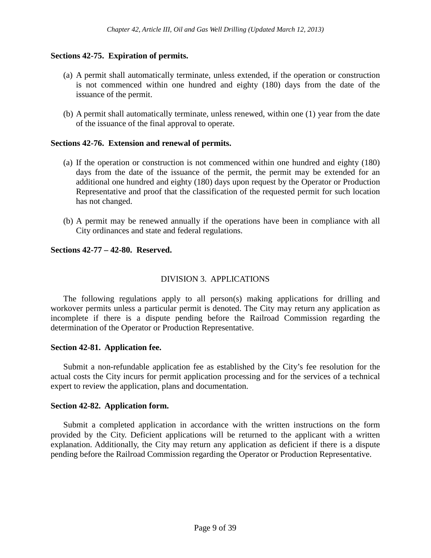# **Sections 42-75. Expiration of permits.**

- (a) A permit shall automatically terminate, unless extended, if the operation or construction is not commenced within one hundred and eighty (180) days from the date of the issuance of the permit.
- (b) A permit shall automatically terminate, unless renewed, within one (1) year from the date of the issuance of the final approval to operate.

## **Sections 42-76. Extension and renewal of permits.**

- (a) If the operation or construction is not commenced within one hundred and eighty (180) days from the date of the issuance of the permit, the permit may be extended for an additional one hundred and eighty (180) days upon request by the Operator or Production Representative and proof that the classification of the requested permit for such location has not changed.
- (b) A permit may be renewed annually if the operations have been in compliance with all City ordinances and state and federal regulations.

## **Sections 42-77 – 42-80. Reserved.**

# DIVISION 3. APPLICATIONS

The following regulations apply to all person(s) making applications for drilling and workover permits unless a particular permit is denoted. The City may return any application as incomplete if there is a dispute pending before the Railroad Commission regarding the determination of the Operator or Production Representative.

## **Section 42-81. Application fee.**

Submit a non-refundable application fee as established by the City's fee resolution for the actual costs the City incurs for permit application processing and for the services of a technical expert to review the application, plans and documentation.

## **Section 42-82. Application form.**

Submit a completed application in accordance with the written instructions on the form provided by the City. Deficient applications will be returned to the applicant with a written explanation. Additionally, the City may return any application as deficient if there is a dispute pending before the Railroad Commission regarding the Operator or Production Representative.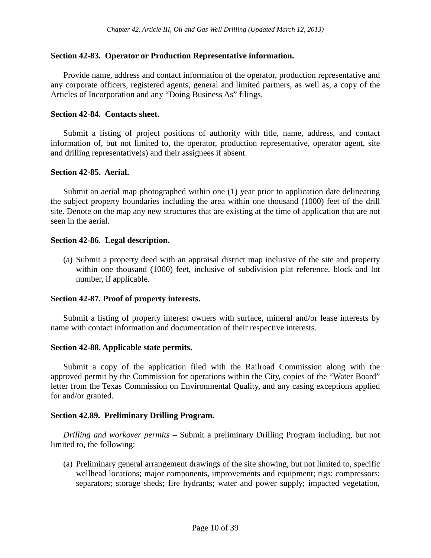## **Section 42-83. Operator or Production Representative information.**

Provide name, address and contact information of the operator, production representative and any corporate officers, registered agents, general and limited partners, as well as, a copy of the Articles of Incorporation and any "Doing Business As" filings.

## **Section 42-84. Contacts sheet.**

Submit a listing of project positions of authority with title, name, address, and contact information of, but not limited to, the operator, production representative, operator agent, site and drilling representative(s) and their assignees if absent.

## **Section 42-85. Aerial.**

Submit an aerial map photographed within one (1) year prior to application date delineating the subject property boundaries including the area within one thousand (1000) feet of the drill site. Denote on the map any new structures that are existing at the time of application that are not seen in the aerial.

## **Section 42-86. Legal description.**

(a) Submit a property deed with an appraisal district map inclusive of the site and property within one thousand (1000) feet, inclusive of subdivision plat reference, block and lot number, if applicable.

## **Section 42-87. Proof of property interests.**

Submit a listing of property interest owners with surface, mineral and/or lease interests by name with contact information and documentation of their respective interests.

### **Section 42-88. Applicable state permits.**

Submit a copy of the application filed with the Railroad Commission along with the approved permit by the Commission for operations within the City, copies of the "Water Board" letter from the Texas Commission on Environmental Quality, and any casing exceptions applied for and/or granted.

## **Section 42.89. Preliminary Drilling Program.**

*Drilling and workover permits –* Submit a preliminary Drilling Program including, but not limited to, the following:

(a) Preliminary general arrangement drawings of the site showing, but not limited to, specific wellhead locations; major components, improvements and equipment; rigs; compressors; separators; storage sheds; fire hydrants; water and power supply; impacted vegetation,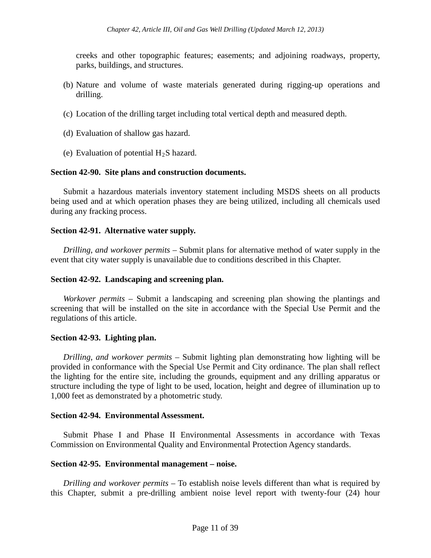creeks and other topographic features; easements; and adjoining roadways, property, parks, buildings, and structures.

- (b) Nature and volume of waste materials generated during rigging-up operations and drilling.
- (c) Location of the drilling target including total vertical depth and measured depth.
- (d) Evaluation of shallow gas hazard.
- (e) Evaluation of potential  $H_2S$  hazard.

## **Section 42-90. Site plans and construction documents.**

Submit a hazardous materials inventory statement including MSDS sheets on all products being used and at which operation phases they are being utilized, including all chemicals used during any fracking process.

### **Section 42-91. Alternative water supply.**

*Drilling, and workover permits –* Submit plans for alternative method of water supply in the event that city water supply is unavailable due to conditions described in this Chapter.

### **Section 42-92. Landscaping and screening plan.**

*Workover permits –* Submit a landscaping and screening plan showing the plantings and screening that will be installed on the site in accordance with the Special Use Permit and the regulations of this article.

## **Section 42-93. Lighting plan.**

*Drilling, and workover permits* – Submit lighting plan demonstrating how lighting will be provided in conformance with the Special Use Permit and City ordinance. The plan shall reflect the lighting for the entire site, including the grounds, equipment and any drilling apparatus or structure including the type of light to be used, location, height and degree of illumination up to 1,000 feet as demonstrated by a photometric study.

## **Section 42-94. Environmental Assessment.**

Submit Phase I and Phase II Environmental Assessments in accordance with Texas Commission on Environmental Quality and Environmental Protection Agency standards.

### **Section 42-95. Environmental management – noise.**

*Drilling and workover permits –* To establish noise levels different than what is required by this Chapter, submit a pre-drilling ambient noise level report with twenty-four (24) hour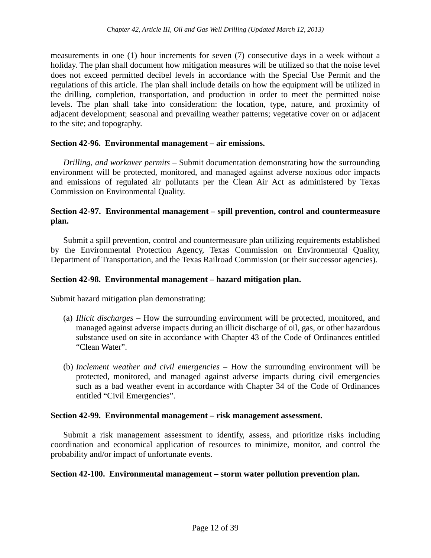measurements in one (1) hour increments for seven (7) consecutive days in a week without a holiday. The plan shall document how mitigation measures will be utilized so that the noise level does not exceed permitted decibel levels in accordance with the Special Use Permit and the regulations of this article. The plan shall include details on how the equipment will be utilized in the drilling, completion, transportation, and production in order to meet the permitted noise levels. The plan shall take into consideration: the location, type, nature, and proximity of adjacent development; seasonal and prevailing weather patterns; vegetative cover on or adjacent to the site; and topography.

## **Section 42-96. Environmental management – air emissions.**

*Drilling, and workover permits* – Submit documentation demonstrating how the surrounding environment will be protected, monitored, and managed against adverse noxious odor impacts and emissions of regulated air pollutants per the Clean Air Act as administered by Texas Commission on Environmental Quality.

## **Section 42-97. Environmental management – spill prevention, control and countermeasure plan.**

Submit a spill prevention, control and countermeasure plan utilizing requirements established by the Environmental Protection Agency, Texas Commission on Environmental Quality, Department of Transportation, and the Texas Railroad Commission (or their successor agencies).

### **Section 42-98. Environmental management – hazard mitigation plan.**

Submit hazard mitigation plan demonstrating:

- (a) *Illicit discharges –* How the surrounding environment will be protected, monitored, and managed against adverse impacts during an illicit discharge of oil, gas, or other hazardous substance used on site in accordance with Chapter 43 of the Code of Ordinances entitled "Clean Water".
- (b) *Inclement weather and civil emergencies –* How the surrounding environment will be protected, monitored, and managed against adverse impacts during civil emergencies such as a bad weather event in accordance with Chapter 34 of the Code of Ordinances entitled "Civil Emergencies".

### **Section 42-99. Environmental management – risk management assessment.**

Submit a risk management assessment to identify, assess, and prioritize risks including coordination and economical application of resources to minimize, monitor, and control the probability and/or impact of unfortunate events.

### **Section 42-100. Environmental management – storm water pollution prevention plan.**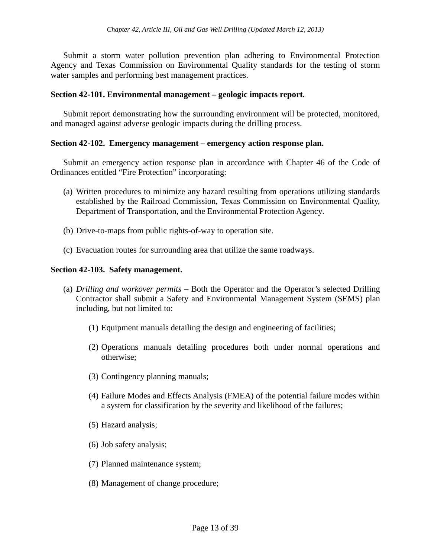Submit a storm water pollution prevention plan adhering to Environmental Protection Agency and Texas Commission on Environmental Quality standards for the testing of storm water samples and performing best management practices.

## **Section 42-101. Environmental management – geologic impacts report.**

Submit report demonstrating how the surrounding environment will be protected, monitored, and managed against adverse geologic impacts during the drilling process.

### **Section 42-102. Emergency management – emergency action response plan.**

Submit an emergency action response plan in accordance with Chapter 46 of the Code of Ordinances entitled "Fire Protection" incorporating:

- (a) Written procedures to minimize any hazard resulting from operations utilizing standards established by the Railroad Commission, Texas Commission on Environmental Quality, Department of Transportation, and the Environmental Protection Agency.
- (b) Drive-to-maps from public rights-of-way to operation site.
- (c) Evacuation routes for surrounding area that utilize the same roadways.

## **Section 42-103. Safety management.**

- (a) *Drilling and workover permits –* Both the Operator and the Operator's selected Drilling Contractor shall submit a Safety and Environmental Management System (SEMS) plan including, but not limited to:
	- (1) Equipment manuals detailing the design and engineering of facilities;
	- (2) Operations manuals detailing procedures both under normal operations and otherwise;
	- (3) Contingency planning manuals;
	- (4) Failure Modes and Effects Analysis (FMEA) of the potential failure modes within a system for classification by the severity and likelihood of the failures;
	- (5) Hazard analysis;
	- (6) Job safety analysis;
	- (7) Planned maintenance system;
	- (8) Management of change procedure;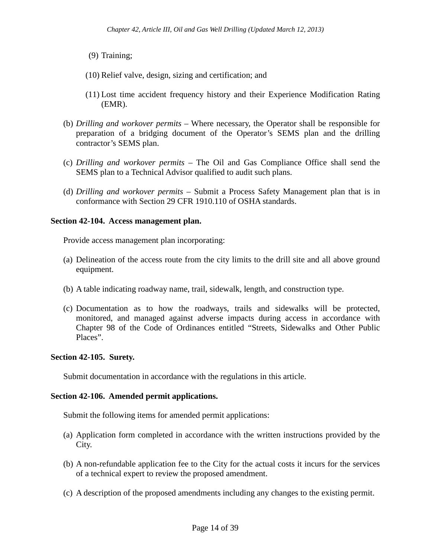- (9) Training;
- (10) Relief valve, design, sizing and certification; and
- (11) Lost time accident frequency history and their Experience Modification Rating (EMR).
- (b) *Drilling and workover permits –* Where necessary, the Operator shall be responsible for preparation of a bridging document of the Operator's SEMS plan and the drilling contractor's SEMS plan.
- (c) *Drilling and workover permits –* The Oil and Gas Compliance Office shall send the SEMS plan to a Technical Advisor qualified to audit such plans.
- (d) *Drilling and workover permits –* Submit a Process Safety Management plan that is in conformance with Section 29 CFR 1910.110 of OSHA standards.

## **Section 42-104. Access management plan.**

Provide access management plan incorporating:

- (a) Delineation of the access route from the city limits to the drill site and all above ground equipment.
- (b) A table indicating roadway name, trail, sidewalk, length, and construction type.
- (c) Documentation as to how the roadways, trails and sidewalks will be protected, monitored, and managed against adverse impacts during access in accordance with Chapter 98 of the Code of Ordinances entitled "Streets, Sidewalks and Other Public Places".

## **Section 42-105. Surety.**

Submit documentation in accordance with the regulations in this article.

## **Section 42-106. Amended permit applications.**

Submit the following items for amended permit applications:

- (a) Application form completed in accordance with the written instructions provided by the City.
- (b) A non-refundable application fee to the City for the actual costs it incurs for the services of a technical expert to review the proposed amendment.
- (c) A description of the proposed amendments including any changes to the existing permit.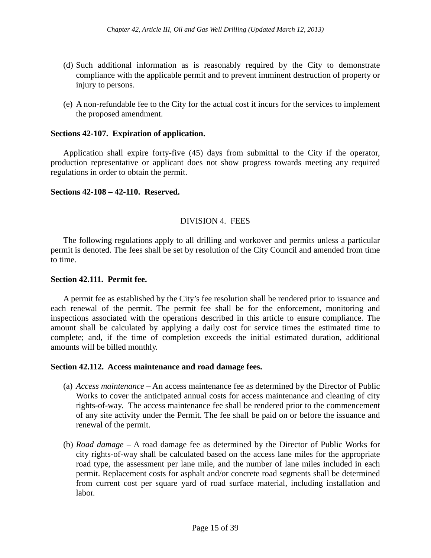- (d) Such additional information as is reasonably required by the City to demonstrate compliance with the applicable permit and to prevent imminent destruction of property or injury to persons.
- (e) A non-refundable fee to the City for the actual cost it incurs for the services to implement the proposed amendment.

### **Sections 42-107. Expiration of application.**

Application shall expire forty-five (45) days from submittal to the City if the operator, production representative or applicant does not show progress towards meeting any required regulations in order to obtain the permit.

### **Sections 42-108 – 42-110. Reserved.**

## DIVISION 4. FEES

The following regulations apply to all drilling and workover and permits unless a particular permit is denoted. The fees shall be set by resolution of the City Council and amended from time to time.

### **Section 42.111. Permit fee.**

A permit fee as established by the City's fee resolution shall be rendered prior to issuance and each renewal of the permit. The permit fee shall be for the enforcement, monitoring and inspections associated with the operations described in this article to ensure compliance. The amount shall be calculated by applying a daily cost for service times the estimated time to complete; and, if the time of completion exceeds the initial estimated duration, additional amounts will be billed monthly.

### **Section 42.112. Access maintenance and road damage fees.**

- (a) *Access maintenance –* An access maintenance fee as determined by the Director of Public Works to cover the anticipated annual costs for access maintenance and cleaning of city rights-of-way. The access maintenance fee shall be rendered prior to the commencement of any site activity under the Permit. The fee shall be paid on or before the issuance and renewal of the permit.
- (b) *Road damage –* A road damage fee as determined by the Director of Public Works for city rights-of-way shall be calculated based on the access lane miles for the appropriate road type, the assessment per lane mile, and the number of lane miles included in each permit. Replacement costs for asphalt and/or concrete road segments shall be determined from current cost per square yard of road surface material, including installation and labor.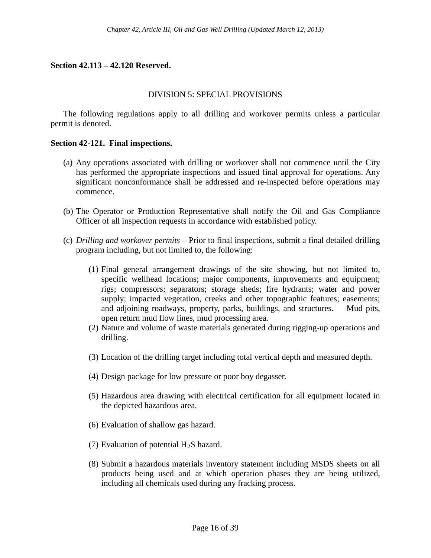# **Section 42.113 – 42.120 Reserved.**

## DIVISION 5: SPECIAL PROVISIONS

The following regulations apply to all drilling and workover permits unless a particular permit is denoted.

### **Section 42-121. Final inspections.**

- (a) Any operations associated with drilling or workover shall not commence until the City has performed the appropriate inspections and issued final approval for operations. Any significant nonconformance shall be addressed and re-inspected before operations may commence.
- (b) The Operator or Production Representative shall notify the Oil and Gas Compliance Officer of all inspection requests in accordance with established policy.
- (c) *Drilling and workover permits –* Prior to final inspections, submit a final detailed drilling program including, but not limited to, the following:
	- (1) Final general arrangement drawings of the site showing, but not limited to, specific wellhead locations; major components, improvements and equipment; rigs; compressors; separators; storage sheds; fire hydrants; water and power supply; impacted vegetation, creeks and other topographic features; easements; and adjoining roadways, property, parks, buildings, and structures. Mud pits, open return mud flow lines, mud processing area.
	- (2) Nature and volume of waste materials generated during rigging-up operations and drilling.
	- (3) Location of the drilling target including total vertical depth and measured depth.
	- (4) Design package for low pressure or poor boy degasser.
	- (5) Hazardous area drawing with electrical certification for all equipment located in the depicted hazardous area.
	- (6) Evaluation of shallow gas hazard.
	- (7) Evaluation of potential  $H_2S$  hazard.
	- (8) Submit a hazardous materials inventory statement including MSDS sheets on all products being used and at which operation phases they are being utilized, including all chemicals used during any fracking process.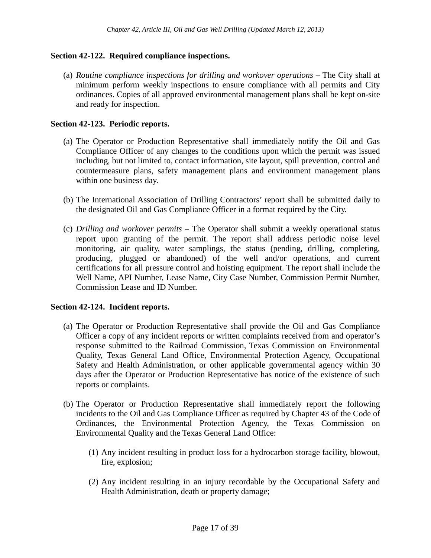# **Section 42-122. Required compliance inspections.**

(a) *Routine compliance inspections for drilling and workover operations –* The City shall at minimum perform weekly inspections to ensure compliance with all permits and City ordinances. Copies of all approved environmental management plans shall be kept on-site and ready for inspection.

## **Section 42-123. Periodic reports.**

- (a) The Operator or Production Representative shall immediately notify the Oil and Gas Compliance Officer of any changes to the conditions upon which the permit was issued including, but not limited to, contact information, site layout, spill prevention, control and countermeasure plans, safety management plans and environment management plans within one business day.
- (b) The International Association of Drilling Contractors' report shall be submitted daily to the designated Oil and Gas Compliance Officer in a format required by the City.
- (c) *Drilling and workover permits* The Operator shall submit a weekly operational status report upon granting of the permit. The report shall address periodic noise level monitoring, air quality, water samplings, the status (pending, drilling, completing, producing, plugged or abandoned) of the well and/or operations, and current certifications for all pressure control and hoisting equipment. The report shall include the Well Name, API Number, Lease Name, City Case Number, Commission Permit Number, Commission Lease and ID Number.

## **Section 42-124. Incident reports.**

- (a) The Operator or Production Representative shall provide the Oil and Gas Compliance Officer a copy of any incident reports or written complaints received from and operator's response submitted to the Railroad Commission, Texas Commission on Environmental Quality, Texas General Land Office, Environmental Protection Agency, Occupational Safety and Health Administration, or other applicable governmental agency within 30 days after the Operator or Production Representative has notice of the existence of such reports or complaints.
- (b) The Operator or Production Representative shall immediately report the following incidents to the Oil and Gas Compliance Officer as required by Chapter 43 of the Code of Ordinances, the Environmental Protection Agency, the Texas Commission on Environmental Quality and the Texas General Land Office:
	- (1) Any incident resulting in product loss for a hydrocarbon storage facility, blowout, fire, explosion;
	- (2) Any incident resulting in an injury recordable by the Occupational Safety and Health Administration, death or property damage;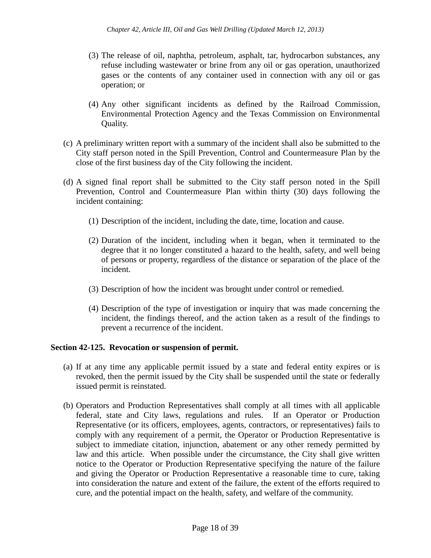- (3) The release of oil, naphtha, petroleum, asphalt, tar, hydrocarbon substances, any refuse including wastewater or brine from any oil or gas operation, unauthorized gases or the contents of any container used in connection with any oil or gas operation; or
- (4) Any other significant incidents as defined by the Railroad Commission, Environmental Protection Agency and the Texas Commission on Environmental Quality.
- (c) A preliminary written report with a summary of the incident shall also be submitted to the City staff person noted in the Spill Prevention, Control and Countermeasure Plan by the close of the first business day of the City following the incident.
- (d) A signed final report shall be submitted to the City staff person noted in the Spill Prevention, Control and Countermeasure Plan within thirty (30) days following the incident containing:
	- (1) Description of the incident, including the date, time, location and cause.
	- (2) Duration of the incident, including when it began, when it terminated to the degree that it no longer constituted a hazard to the health, safety, and well being of persons or property, regardless of the distance or separation of the place of the incident.
	- (3) Description of how the incident was brought under control or remedied.
	- (4) Description of the type of investigation or inquiry that was made concerning the incident, the findings thereof, and the action taken as a result of the findings to prevent a recurrence of the incident.

## **Section 42-125. Revocation or suspension of permit.**

- (a) If at any time any applicable permit issued by a state and federal entity expires or is revoked, then the permit issued by the City shall be suspended until the state or federally issued permit is reinstated.
- (b) Operators and Production Representatives shall comply at all times with all applicable federal, state and City laws, regulations and rules. If an Operator or Production Representative (or its officers, employees, agents, contractors, or representatives) fails to comply with any requirement of a permit, the Operator or Production Representative is subject to immediate citation, injunction, abatement or any other remedy permitted by law and this article. When possible under the circumstance, the City shall give written notice to the Operator or Production Representative specifying the nature of the failure and giving the Operator or Production Representative a reasonable time to cure, taking into consideration the nature and extent of the failure, the extent of the efforts required to cure, and the potential impact on the health, safety, and welfare of the community.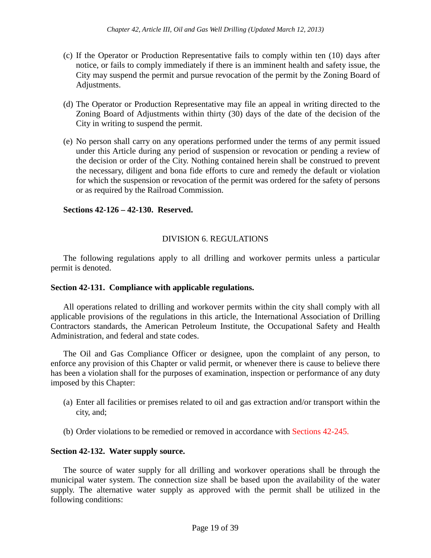- (c) If the Operator or Production Representative fails to comply within ten (10) days after notice, or fails to comply immediately if there is an imminent health and safety issue, the City may suspend the permit and pursue revocation of the permit by the Zoning Board of Adjustments.
- (d) The Operator or Production Representative may file an appeal in writing directed to the Zoning Board of Adjustments within thirty (30) days of the date of the decision of the City in writing to suspend the permit.
- (e) No person shall carry on any operations performed under the terms of any permit issued under this Article during any period of suspension or revocation or pending a review of the decision or order of the City. Nothing contained herein shall be construed to prevent the necessary, diligent and bona fide efforts to cure and remedy the default or violation for which the suspension or revocation of the permit was ordered for the safety of persons or as required by the Railroad Commission.

# **Sections 42-126 – 42-130. Reserved.**

# DIVISION 6. REGULATIONS

The following regulations apply to all drilling and workover permits unless a particular permit is denoted.

## **Section 42-131. Compliance with applicable regulations.**

All operations related to drilling and workover permits within the city shall comply with all applicable provisions of the regulations in this article, the International Association of Drilling Contractors standards, the American Petroleum Institute, the Occupational Safety and Health Administration, and federal and state codes.

The Oil and Gas Compliance Officer or designee, upon the complaint of any person, to enforce any provision of this Chapter or valid permit, or whenever there is cause to believe there has been a violation shall for the purposes of examination, inspection or performance of any duty imposed by this Chapter:

- (a) Enter all facilities or premises related to oil and gas extraction and/or transport within the city, and;
- (b) Order violations to be remedied or removed in accordance with Sections 42-245.

# **Section 42-132. Water supply source.**

The source of water supply for all drilling and workover operations shall be through the municipal water system. The connection size shall be based upon the availability of the water supply. The alternative water supply as approved with the permit shall be utilized in the following conditions: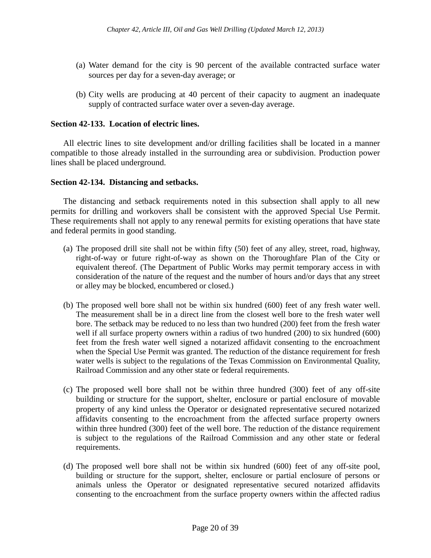- (a) Water demand for the city is 90 percent of the available contracted surface water sources per day for a seven-day average; or
- (b) City wells are producing at 40 percent of their capacity to augment an inadequate supply of contracted surface water over a seven-day average.

## **Section 42-133. Location of electric lines.**

All electric lines to site development and/or drilling facilities shall be located in a manner compatible to those already installed in the surrounding area or subdivision. Production power lines shall be placed underground.

## **Section 42-134. Distancing and setbacks.**

The distancing and setback requirements noted in this subsection shall apply to all new permits for drilling and workovers shall be consistent with the approved Special Use Permit. These requirements shall not apply to any renewal permits for existing operations that have state and federal permits in good standing.

- (a) The proposed drill site shall not be within fifty (50) feet of any alley, street, road, highway, right-of-way or future right-of-way as shown on the Thoroughfare Plan of the City or equivalent thereof. (The Department of Public Works may permit temporary access in with consideration of the nature of the request and the number of hours and/or days that any street or alley may be blocked, encumbered or closed.)
- (b) The proposed well bore shall not be within six hundred (600) feet of any fresh water well. The measurement shall be in a direct line from the closest well bore to the fresh water well bore. The setback may be reduced to no less than two hundred (200) feet from the fresh water well if all surface property owners within a radius of two hundred (200) to six hundred (600) feet from the fresh water well signed a notarized affidavit consenting to the encroachment when the Special Use Permit was granted. The reduction of the distance requirement for fresh water wells is subject to the regulations of the Texas Commission on Environmental Quality, Railroad Commission and any other state or federal requirements.
- (c) The proposed well bore shall not be within three hundred (300) feet of any off-site building or structure for the support, shelter, enclosure or partial enclosure of movable property of any kind unless the Operator or designated representative secured notarized affidavits consenting to the encroachment from the affected surface property owners within three hundred (300) feet of the well bore. The reduction of the distance requirement is subject to the regulations of the Railroad Commission and any other state or federal requirements.
- (d) The proposed well bore shall not be within six hundred (600) feet of any off-site pool, building or structure for the support, shelter, enclosure or partial enclosure of persons or animals unless the Operator or designated representative secured notarized affidavits consenting to the encroachment from the surface property owners within the affected radius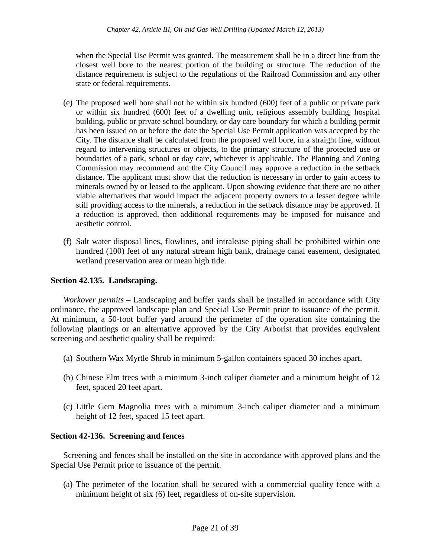when the Special Use Permit was granted. The measurement shall be in a direct line from the closest well bore to the nearest portion of the building or structure. The reduction of the distance requirement is subject to the regulations of the Railroad Commission and any other state or federal requirements.

- (e) The proposed well bore shall not be within six hundred (600) feet of a public or private park or within six hundred (600) feet of a dwelling unit, religious assembly building, hospital building, public or private school boundary, or day care boundary for which a building permit has been issued on or before the date the Special Use Permit application was accepted by the City. The distance shall be calculated from the proposed well bore, in a straight line, without regard to intervening structures or objects, to the primary structure of the protected use or boundaries of a park, school or day care, whichever is applicable. The Planning and Zoning Commission may recommend and the City Council may approve a reduction in the setback distance. The applicant must show that the reduction is necessary in order to gain access to minerals owned by or leased to the applicant. Upon showing evidence that there are no other viable alternatives that would impact the adjacent property owners to a lesser degree while still providing access to the minerals, a reduction in the setback distance may be approved. If a reduction is approved, then additional requirements may be imposed for nuisance and aesthetic control.
- (f) Salt water disposal lines, flowlines, and intralease piping shall be prohibited within one hundred (100) feet of any natural stream high bank, drainage canal easement, designated wetland preservation area or mean high tide.

# **Section 42.135. Landscaping.**

*Workover permits* – Landscaping and buffer yards shall be installed in accordance with City ordinance, the approved landscape plan and Special Use Permit prior to issuance of the permit. At minimum, a 50-foot buffer yard around the perimeter of the operation site containing the following plantings or an alternative approved by the City Arborist that provides equivalent screening and aesthetic quality shall be required:

- (a) Southern Wax Myrtle Shrub in minimum 5-gallon containers spaced 30 inches apart.
- (b) Chinese Elm trees with a minimum 3-inch caliper diameter and a minimum height of 12 feet, spaced 20 feet apart.
- (c) Little Gem Magnolia trees with a minimum 3-inch caliper diameter and a minimum height of 12 feet, spaced 15 feet apart.

## **Section 42-136. Screening and fences**

Screening and fences shall be installed on the site in accordance with approved plans and the Special Use Permit prior to issuance of the permit.

(a) The perimeter of the location shall be secured with a commercial quality fence with a minimum height of six (6) feet, regardless of on-site supervision.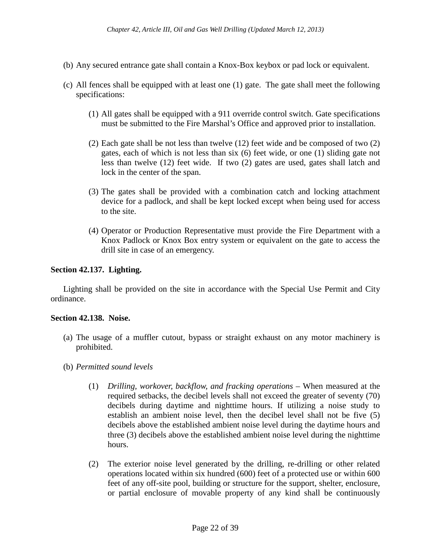- (b) Any secured entrance gate shall contain a Knox-Box keybox or pad lock or equivalent.
- (c) All fences shall be equipped with at least one (1) gate. The gate shall meet the following specifications:
	- (1) All gates shall be equipped with a 911 override control switch. Gate specifications must be submitted to the Fire Marshal's Office and approved prior to installation.
	- (2) Each gate shall be not less than twelve (12) feet wide and be composed of two (2) gates, each of which is not less than six (6) feet wide, or one (1) sliding gate not less than twelve (12) feet wide. If two (2) gates are used, gates shall latch and lock in the center of the span.
	- (3) The gates shall be provided with a combination catch and locking attachment device for a padlock, and shall be kept locked except when being used for access to the site.
	- (4) Operator or Production Representative must provide the Fire Department with a Knox Padlock or Knox Box entry system or equivalent on the gate to access the drill site in case of an emergency.

### **Section 42.137. Lighting.**

Lighting shall be provided on the site in accordance with the Special Use Permit and City ordinance.

### **Section 42.138. Noise.**

- (a) The usage of a muffler cutout, bypass or straight exhaust on any motor machinery is prohibited.
- (b) *Permitted sound levels*
	- (1) *Drilling, workover, backflow, and fracking operations –* When measured at the required setbacks, the decibel levels shall not exceed the greater of seventy (70) decibels during daytime and nighttime hours. If utilizing a noise study to establish an ambient noise level, then the decibel level shall not be five (5) decibels above the established ambient noise level during the daytime hours and three (3) decibels above the established ambient noise level during the nighttime hours.
	- (2) The exterior noise level generated by the drilling, re-drilling or other related operations located within six hundred (600) feet of a protected use or within 600 feet of any off-site pool, building or structure for the support, shelter, enclosure, or partial enclosure of movable property of any kind shall be continuously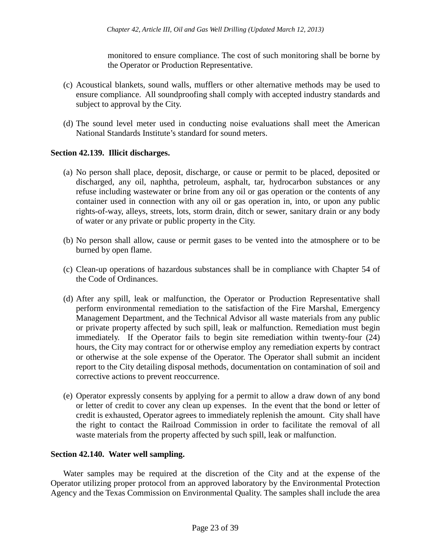monitored to ensure compliance. The cost of such monitoring shall be borne by the Operator or Production Representative.

- (c) Acoustical blankets, sound walls, mufflers or other alternative methods may be used to ensure compliance. All soundproofing shall comply with accepted industry standards and subject to approval by the City.
- (d) The sound level meter used in conducting noise evaluations shall meet the American National Standards Institute's standard for sound meters.

## **Section 42.139. Illicit discharges.**

- (a) No person shall place, deposit, discharge, or cause or permit to be placed, deposited or discharged, any oil, naphtha, petroleum, asphalt, tar, hydrocarbon substances or any refuse including wastewater or brine from any oil or gas operation or the contents of any container used in connection with any oil or gas operation in, into, or upon any public rights-of-way, alleys, streets, lots, storm drain, ditch or sewer, sanitary drain or any body of water or any private or public property in the City.
- (b) No person shall allow, cause or permit gases to be vented into the atmosphere or to be burned by open flame.
- (c) Clean-up operations of hazardous substances shall be in compliance with Chapter 54 of the Code of Ordinances.
- (d) After any spill, leak or malfunction, the Operator or Production Representative shall perform environmental remediation to the satisfaction of the Fire Marshal, Emergency Management Department, and the Technical Advisor all waste materials from any public or private property affected by such spill, leak or malfunction. Remediation must begin immediately. If the Operator fails to begin site remediation within twenty-four (24) hours, the City may contract for or otherwise employ any remediation experts by contract or otherwise at the sole expense of the Operator. The Operator shall submit an incident report to the City detailing disposal methods, documentation on contamination of soil and corrective actions to prevent reoccurrence.
- (e) Operator expressly consents by applying for a permit to allow a draw down of any bond or letter of credit to cover any clean up expenses. In the event that the bond or letter of credit is exhausted, Operator agrees to immediately replenish the amount. City shall have the right to contact the Railroad Commission in order to facilitate the removal of all waste materials from the property affected by such spill, leak or malfunction.

## **Section 42.140. Water well sampling.**

Water samples may be required at the discretion of the City and at the expense of the Operator utilizing proper protocol from an approved laboratory by the Environmental Protection Agency and the Texas Commission on Environmental Quality. The samples shall include the area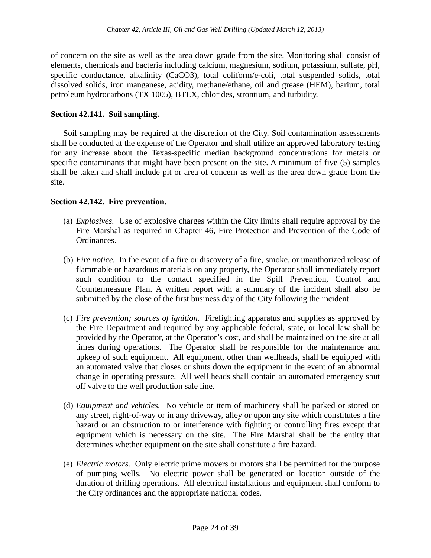of concern on the site as well as the area down grade from the site. Monitoring shall consist of elements, chemicals and bacteria including calcium, magnesium, sodium, potassium, sulfate, pH, specific conductance, alkalinity (CaCO3), total coliform/e-coli, total suspended solids, total dissolved solids, iron manganese, acidity, methane/ethane, oil and grease (HEM), barium, total petroleum hydrocarbons (TX 1005), BTEX, chlorides, strontium, and turbidity.

## **Section 42.141. Soil sampling.**

Soil sampling may be required at the discretion of the City. Soil contamination assessments shall be conducted at the expense of the Operator and shall utilize an approved laboratory testing for any increase about the Texas-specific median background concentrations for metals or specific contaminants that might have been present on the site. A minimum of five (5) samples shall be taken and shall include pit or area of concern as well as the area down grade from the site.

## **Section 42.142. Fire prevention.**

- (a) *Explosives.* Use of explosive charges within the City limits shall require approval by the Fire Marshal as required in Chapter 46, Fire Protection and Prevention of the Code of Ordinances.
- (b) *Fire notice.* In the event of a fire or discovery of a fire, smoke, or unauthorized release of flammable or hazardous materials on any property, the Operator shall immediately report such condition to the contact specified in the Spill Prevention, Control and Countermeasure Plan. A written report with a summary of the incident shall also be submitted by the close of the first business day of the City following the incident.
- (c) *Fire prevention; sources of ignition.* Firefighting apparatus and supplies as approved by the Fire Department and required by any applicable federal, state, or local law shall be provided by the Operator, at the Operator's cost, and shall be maintained on the site at all times during operations. The Operator shall be responsible for the maintenance and upkeep of such equipment. All equipment, other than wellheads, shall be equipped with an automated valve that closes or shuts down the equipment in the event of an abnormal change in operating pressure. All well heads shall contain an automated emergency shut off valve to the well production sale line.
- (d) *Equipment and vehicles.* No vehicle or item of machinery shall be parked or stored on any street, right-of-way or in any driveway, alley or upon any site which constitutes a fire hazard or an obstruction to or interference with fighting or controlling fires except that equipment which is necessary on the site. The Fire Marshal shall be the entity that determines whether equipment on the site shall constitute a fire hazard.
- (e) *Electric motors.* Only electric prime movers or motors shall be permitted for the purpose of pumping wells. No electric power shall be generated on location outside of the duration of drilling operations. All electrical installations and equipment shall conform to the City ordinances and the appropriate national codes.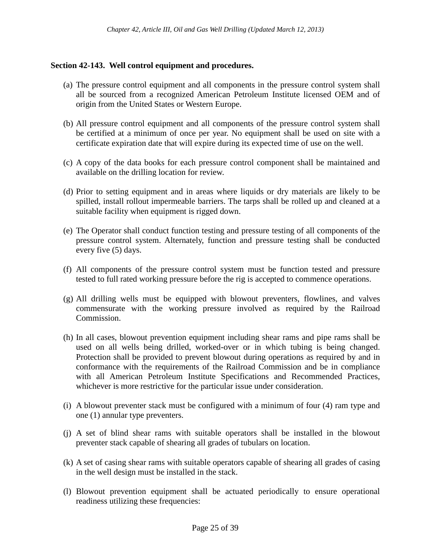# **Section 42-143. Well control equipment and procedures.**

- (a) The pressure control equipment and all components in the pressure control system shall all be sourced from a recognized American Petroleum Institute licensed OEM and of origin from the United States or Western Europe.
- (b) All pressure control equipment and all components of the pressure control system shall be certified at a minimum of once per year. No equipment shall be used on site with a certificate expiration date that will expire during its expected time of use on the well.
- (c) A copy of the data books for each pressure control component shall be maintained and available on the drilling location for review.
- (d) Prior to setting equipment and in areas where liquids or dry materials are likely to be spilled, install rollout impermeable barriers. The tarps shall be rolled up and cleaned at a suitable facility when equipment is rigged down.
- (e) The Operator shall conduct function testing and pressure testing of all components of the pressure control system. Alternately, function and pressure testing shall be conducted every five (5) days.
- (f) All components of the pressure control system must be function tested and pressure tested to full rated working pressure before the rig is accepted to commence operations.
- (g) All drilling wells must be equipped with blowout preventers, flowlines, and valves commensurate with the working pressure involved as required by the Railroad Commission.
- (h) In all cases, blowout prevention equipment including shear rams and pipe rams shall be used on all wells being drilled, worked-over or in which tubing is being changed. Protection shall be provided to prevent blowout during operations as required by and in conformance with the requirements of the Railroad Commission and be in compliance with all American Petroleum Institute Specifications and Recommended Practices, whichever is more restrictive for the particular issue under consideration.
- (i) A blowout preventer stack must be configured with a minimum of four (4) ram type and one (1) annular type preventers.
- (j) A set of blind shear rams with suitable operators shall be installed in the blowout preventer stack capable of shearing all grades of tubulars on location.
- (k) A set of casing shear rams with suitable operators capable of shearing all grades of casing in the well design must be installed in the stack.
- (l) Blowout prevention equipment shall be actuated periodically to ensure operational readiness utilizing these frequencies: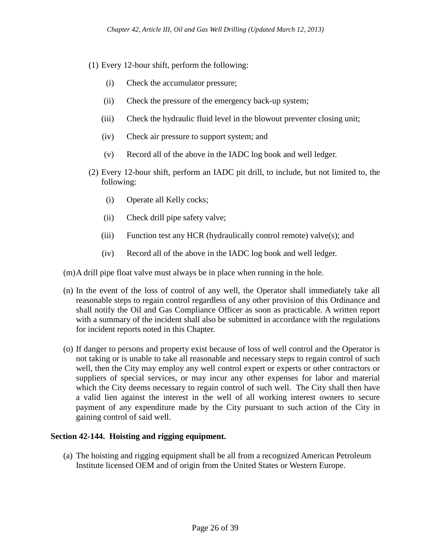- (1) Every 12-hour shift, perform the following:
	- (i) Check the accumulator pressure;
	- (ii) Check the pressure of the emergency back-up system;
	- (iii) Check the hydraulic fluid level in the blowout preventer closing unit;
	- (iv) Check air pressure to support system; and
	- (v) Record all of the above in the IADC log book and well ledger.
- (2) Every 12-hour shift, perform an IADC pit drill, to include, but not limited to, the following:
	- (i) Operate all Kelly cocks;
	- (ii) Check drill pipe safety valve;
	- (iii) Function test any HCR (hydraulically control remote) valve(s); and
	- (iv) Record all of the above in the IADC log book and well ledger.

(m)A drill pipe float valve must always be in place when running in the hole.

- (n) In the event of the loss of control of any well, the Operator shall immediately take all reasonable steps to regain control regardless of any other provision of this Ordinance and shall notify the Oil and Gas Compliance Officer as soon as practicable. A written report with a summary of the incident shall also be submitted in accordance with the regulations for incident reports noted in this Chapter.
- (o) If danger to persons and property exist because of loss of well control and the Operator is not taking or is unable to take all reasonable and necessary steps to regain control of such well, then the City may employ any well control expert or experts or other contractors or suppliers of special services, or may incur any other expenses for labor and material which the City deems necessary to regain control of such well. The City shall then have a valid lien against the interest in the well of all working interest owners to secure payment of any expenditure made by the City pursuant to such action of the City in gaining control of said well.

## **Section 42-144. Hoisting and rigging equipment.**

(a) The hoisting and rigging equipment shall be all from a recognized American Petroleum Institute licensed OEM and of origin from the United States or Western Europe.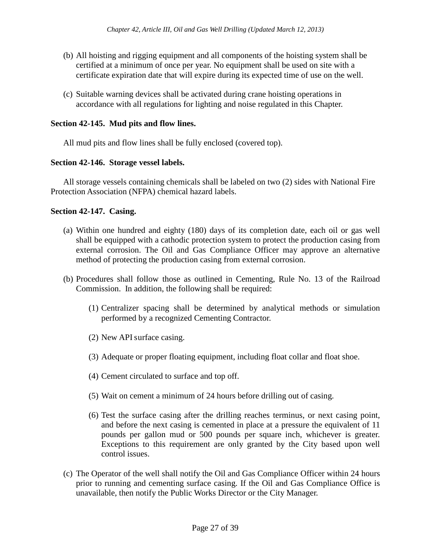- (b) All hoisting and rigging equipment and all components of the hoisting system shall be certified at a minimum of once per year. No equipment shall be used on site with a certificate expiration date that will expire during its expected time of use on the well.
- (c) Suitable warning devices shall be activated during crane hoisting operations in accordance with all regulations for lighting and noise regulated in this Chapter.

## **Section 42-145. Mud pits and flow lines.**

All mud pits and flow lines shall be fully enclosed (covered top).

## **Section 42-146. Storage vessel labels.**

All storage vessels containing chemicals shall be labeled on two (2) sides with National Fire Protection Association (NFPA) chemical hazard labels.

## **Section 42-147. Casing.**

- (a) Within one hundred and eighty (180) days of its completion date, each oil or gas well shall be equipped with a cathodic protection system to protect the production casing from external corrosion. The Oil and Gas Compliance Officer may approve an alternative method of protecting the production casing from external corrosion.
- (b) Procedures shall follow those as outlined in Cementing, Rule No. 13 of the Railroad Commission. In addition, the following shall be required:
	- (1) Centralizer spacing shall be determined by analytical methods or simulation performed by a recognized Cementing Contractor.
	- (2) New API surface casing.
	- (3) Adequate or proper floating equipment, including float collar and float shoe.
	- (4) Cement circulated to surface and top off.
	- (5) Wait on cement a minimum of 24 hours before drilling out of casing.
	- (6) Test the surface casing after the drilling reaches terminus, or next casing point, and before the next casing is cemented in place at a pressure the equivalent of 11 pounds per gallon mud or 500 pounds per square inch, whichever is greater. Exceptions to this requirement are only granted by the City based upon well control issues.
- (c) The Operator of the well shall notify the Oil and Gas Compliance Officer within 24 hours prior to running and cementing surface casing. If the Oil and Gas Compliance Office is unavailable, then notify the Public Works Director or the City Manager.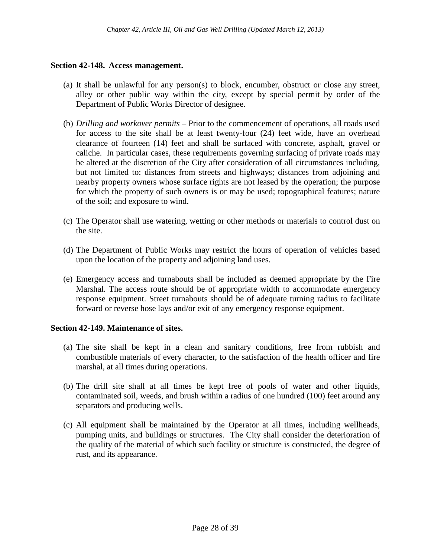## **Section 42-148. Access management.**

- (a) It shall be unlawful for any person(s) to block, encumber, obstruct or close any street, alley or other public way within the city, except by special permit by order of the Department of Public Works Director of designee.
- (b) *Drilling and workover permits –* Prior to the commencement of operations, all roads used for access to the site shall be at least twenty-four (24) feet wide, have an overhead clearance of fourteen (14) feet and shall be surfaced with concrete, asphalt, gravel or caliche. In particular cases, these requirements governing surfacing of private roads may be altered at the discretion of the City after consideration of all circumstances including, but not limited to: distances from streets and highways; distances from adjoining and nearby property owners whose surface rights are not leased by the operation; the purpose for which the property of such owners is or may be used; topographical features; nature of the soil; and exposure to wind.
- (c) The Operator shall use watering, wetting or other methods or materials to control dust on the site.
- (d) The Department of Public Works may restrict the hours of operation of vehicles based upon the location of the property and adjoining land uses.
- (e) Emergency access and turnabouts shall be included as deemed appropriate by the Fire Marshal. The access route should be of appropriate width to accommodate emergency response equipment. Street turnabouts should be of adequate turning radius to facilitate forward or reverse hose lays and/or exit of any emergency response equipment.

## **Section 42-149. Maintenance of sites.**

- (a) The site shall be kept in a clean and sanitary conditions, free from rubbish and combustible materials of every character, to the satisfaction of the health officer and fire marshal, at all times during operations.
- (b) The drill site shall at all times be kept free of pools of water and other liquids, contaminated soil, weeds, and brush within a radius of one hundred (100) feet around any separators and producing wells.
- (c) All equipment shall be maintained by the Operator at all times, including wellheads, pumping units, and buildings or structures. The City shall consider the deterioration of the quality of the material of which such facility or structure is constructed, the degree of rust, and its appearance.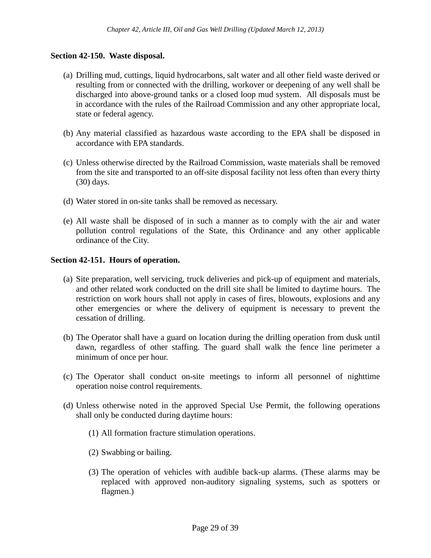## **Section 42-150. Waste disposal.**

- (a) Drilling mud, cuttings, liquid hydrocarbons, salt water and all other field waste derived or resulting from or connected with the drilling, workover or deepening of any well shall be discharged into above-ground tanks or a closed loop mud system. All disposals must be in accordance with the rules of the Railroad Commission and any other appropriate local, state or federal agency.
- (b) Any material classified as hazardous waste according to the EPA shall be disposed in accordance with EPA standards.
- (c) Unless otherwise directed by the Railroad Commission, waste materials shall be removed from the site and transported to an off-site disposal facility not less often than every thirty (30) days.
- (d) Water stored in on-site tanks shall be removed as necessary.
- (e) All waste shall be disposed of in such a manner as to comply with the air and water pollution control regulations of the State, this Ordinance and any other applicable ordinance of the City.

## **Section 42-151. Hours of operation.**

- (a) Site preparation, well servicing, truck deliveries and pick-up of equipment and materials, and other related work conducted on the drill site shall be limited to daytime hours. The restriction on work hours shall not apply in cases of fires, blowouts, explosions and any other emergencies or where the delivery of equipment is necessary to prevent the cessation of drilling.
- (b) The Operator shall have a guard on location during the drilling operation from dusk until dawn, regardless of other staffing. The guard shall walk the fence line perimeter a minimum of once per hour.
- (c) The Operator shall conduct on-site meetings to inform all personnel of nighttime operation noise control requirements.
- (d) Unless otherwise noted in the approved Special Use Permit, the following operations shall only be conducted during daytime hours:
	- (1) All formation fracture stimulation operations.
	- (2) Swabbing or bailing.
	- (3) The operation of vehicles with audible back-up alarms. (These alarms may be replaced with approved non-auditory signaling systems, such as spotters or flagmen.)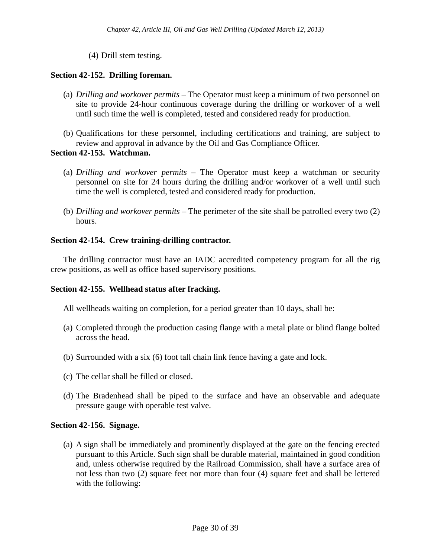(4) Drill stem testing.

# **Section 42-152. Drilling foreman.**

- (a) *Drilling and workover permits –* The Operator must keep a minimum of two personnel on site to provide 24-hour continuous coverage during the drilling or workover of a well until such time the well is completed, tested and considered ready for production.
- (b) Qualifications for these personnel, including certifications and training, are subject to review and approval in advance by the Oil and Gas Compliance Officer.

## **Section 42-153. Watchman.**

- (a) *Drilling and workover permits –* The Operator must keep a watchman or security personnel on site for 24 hours during the drilling and/or workover of a well until such time the well is completed, tested and considered ready for production.
- (b) *Drilling and workover permits –* The perimeter of the site shall be patrolled every two (2) hours.

## **Section 42-154. Crew training-drilling contractor.**

The drilling contractor must have an IADC accredited competency program for all the rig crew positions, as well as office based supervisory positions.

## **Section 42-155. Wellhead status after fracking.**

All wellheads waiting on completion, for a period greater than 10 days, shall be:

- (a) Completed through the production casing flange with a metal plate or blind flange bolted across the head.
- (b) Surrounded with a six (6) foot tall chain link fence having a gate and lock.
- (c) The cellar shall be filled or closed.
- (d) The Bradenhead shall be piped to the surface and have an observable and adequate pressure gauge with operable test valve.

## **Section 42-156. Signage.**

(a) A sign shall be immediately and prominently displayed at the gate on the fencing erected pursuant to this Article. Such sign shall be durable material, maintained in good condition and, unless otherwise required by the Railroad Commission, shall have a surface area of not less than two (2) square feet nor more than four (4) square feet and shall be lettered with the following: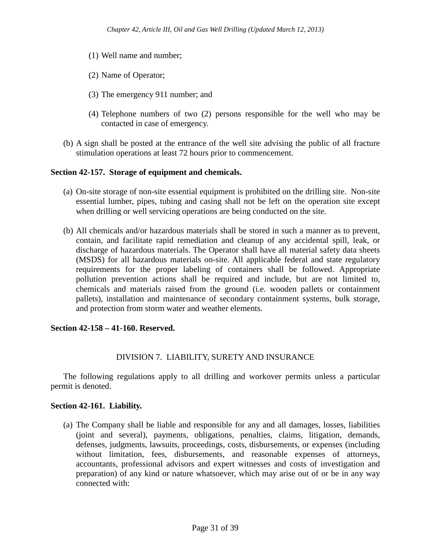- (1) Well name and number;
- (2) Name of Operator;
- (3) The emergency 911 number; and
- (4) Telephone numbers of two (2) persons responsible for the well who may be contacted in case of emergency.
- (b) A sign shall be posted at the entrance of the well site advising the public of all fracture stimulation operations at least 72 hours prior to commencement.

## **Section 42-157. Storage of equipment and chemicals.**

- (a) On-site storage of non-site essential equipment is prohibited on the drilling site. Non-site essential lumber, pipes, tubing and casing shall not be left on the operation site except when drilling or well servicing operations are being conducted on the site.
- (b) All chemicals and/or hazardous materials shall be stored in such a manner as to prevent, contain, and facilitate rapid remediation and cleanup of any accidental spill, leak, or discharge of hazardous materials. The Operator shall have all material safety data sheets (MSDS) for all hazardous materials on-site. All applicable federal and state regulatory requirements for the proper labeling of containers shall be followed. Appropriate pollution prevention actions shall be required and include, but are not limited to, chemicals and materials raised from the ground (i.e. wooden pallets or containment pallets), installation and maintenance of secondary containment systems, bulk storage, and protection from storm water and weather elements.

## **Section 42-158 – 41-160. Reserved.**

# DIVISION 7. LIABILITY, SURETY AND INSURANCE

The following regulations apply to all drilling and workover permits unless a particular permit is denoted.

## **Section 42-161. Liability.**

(a) The Company shall be liable and responsible for any and all damages, losses, liabilities (joint and several), payments, obligations, penalties, claims, litigation, demands, defenses, judgments, lawsuits, proceedings, costs, disbursements, or expenses (including without limitation, fees, disbursements, and reasonable expenses of attorneys, accountants, professional advisors and expert witnesses and costs of investigation and preparation) of any kind or nature whatsoever, which may arise out of or be in any way connected with: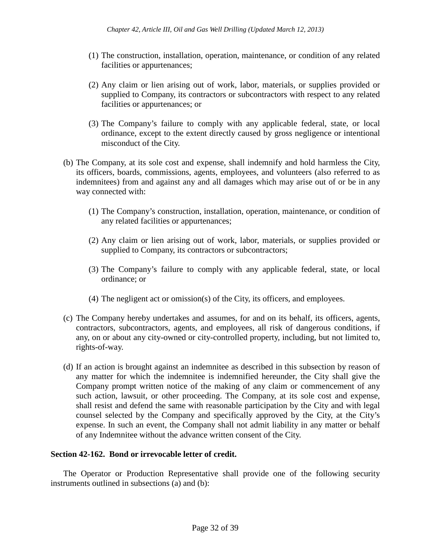- (1) The construction, installation, operation, maintenance, or condition of any related facilities or appurtenances;
- (2) Any claim or lien arising out of work, labor, materials, or supplies provided or supplied to Company, its contractors or subcontractors with respect to any related facilities or appurtenances; or
- (3) The Company's failure to comply with any applicable federal, state, or local ordinance, except to the extent directly caused by gross negligence or intentional misconduct of the City.
- (b) The Company, at its sole cost and expense, shall indemnify and hold harmless the City, its officers, boards, commissions, agents, employees, and volunteers (also referred to as indemnitees) from and against any and all damages which may arise out of or be in any way connected with:
	- (1) The Company's construction, installation, operation, maintenance, or condition of any related facilities or appurtenances;
	- (2) Any claim or lien arising out of work, labor, materials, or supplies provided or supplied to Company, its contractors or subcontractors;
	- (3) The Company's failure to comply with any applicable federal, state, or local ordinance; or
	- (4) The negligent act or omission(s) of the City, its officers, and employees.
- (c) The Company hereby undertakes and assumes, for and on its behalf, its officers, agents, contractors, subcontractors, agents, and employees, all risk of dangerous conditions, if any, on or about any city-owned or city-controlled property, including, but not limited to, rights-of-way.
- (d) If an action is brought against an indemnitee as described in this subsection by reason of any matter for which the indemnitee is indemnified hereunder, the City shall give the Company prompt written notice of the making of any claim or commencement of any such action, lawsuit, or other proceeding. The Company, at its sole cost and expense, shall resist and defend the same with reasonable participation by the City and with legal counsel selected by the Company and specifically approved by the City, at the City's expense. In such an event, the Company shall not admit liability in any matter or behalf of any Indemnitee without the advance written consent of the City.

## **Section 42-162. Bond or irrevocable letter of credit.**

The Operator or Production Representative shall provide one of the following security instruments outlined in subsections (a) and (b):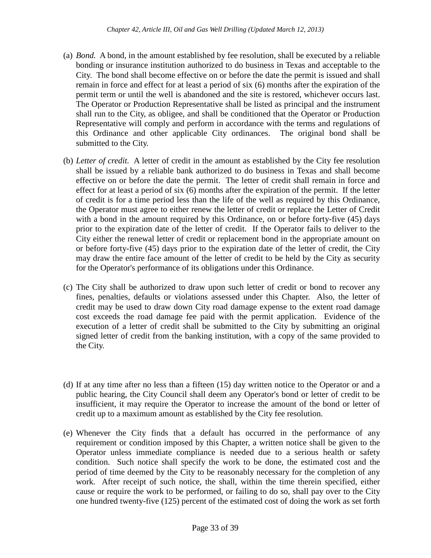- (a) *Bond.* A bond, in the amount established by fee resolution, shall be executed by a reliable bonding or insurance institution authorized to do business in Texas and acceptable to the City. The bond shall become effective on or before the date the permit is issued and shall remain in force and effect for at least a period of six (6) months after the expiration of the permit term or until the well is abandoned and the site is restored, whichever occurs last. The Operator or Production Representative shall be listed as principal and the instrument shall run to the City, as obligee, and shall be conditioned that the Operator or Production Representative will comply and perform in accordance with the terms and regulations of this Ordinance and other applicable City ordinances. The original bond shall be submitted to the City.
- (b) *Letter of credit.* A letter of credit in the amount as established by the City fee resolution shall be issued by a reliable bank authorized to do business in Texas and shall become effective on or before the date the permit. The letter of credit shall remain in force and effect for at least a period of six (6) months after the expiration of the permit. If the letter of credit is for a time period less than the life of the well as required by this Ordinance, the Operator must agree to either renew the letter of credit or replace the Letter of Credit with a bond in the amount required by this Ordinance, on or before forty-five (45) days prior to the expiration date of the letter of credit. If the Operator fails to deliver to the City either the renewal letter of credit or replacement bond in the appropriate amount on or before forty-five (45) days prior to the expiration date of the letter of credit, the City may draw the entire face amount of the letter of credit to be held by the City as security for the Operator's performance of its obligations under this Ordinance.
- (c) The City shall be authorized to draw upon such letter of credit or bond to recover any fines, penalties, defaults or violations assessed under this Chapter. Also, the letter of credit may be used to draw down City road damage expense to the extent road damage cost exceeds the road damage fee paid with the permit application. Evidence of the execution of a letter of credit shall be submitted to the City by submitting an original signed letter of credit from the banking institution, with a copy of the same provided to the City.
- (d) If at any time after no less than a fifteen (15) day written notice to the Operator or and a public hearing, the City Council shall deem any Operator's bond or letter of credit to be insufficient, it may require the Operator to increase the amount of the bond or letter of credit up to a maximum amount as established by the City fee resolution.
- (e) Whenever the City finds that a default has occurred in the performance of any requirement or condition imposed by this Chapter, a written notice shall be given to the Operator unless immediate compliance is needed due to a serious health or safety condition. Such notice shall specify the work to be done, the estimated cost and the period of time deemed by the City to be reasonably necessary for the completion of any work. After receipt of such notice, the shall, within the time therein specified, either cause or require the work to be performed, or failing to do so, shall pay over to the City one hundred twenty-five (125) percent of the estimated cost of doing the work as set forth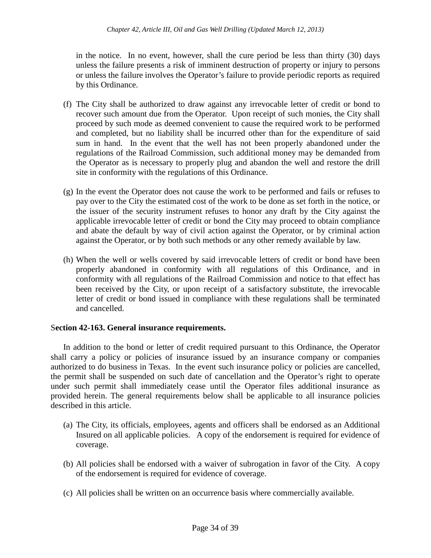in the notice. In no event, however, shall the cure period be less than thirty (30) days unless the failure presents a risk of imminent destruction of property or injury to persons or unless the failure involves the Operator's failure to provide periodic reports as required by this Ordinance.

- (f) The City shall be authorized to draw against any irrevocable letter of credit or bond to recover such amount due from the Operator. Upon receipt of such monies, the City shall proceed by such mode as deemed convenient to cause the required work to be performed and completed, but no liability shall be incurred other than for the expenditure of said sum in hand. In the event that the well has not been properly abandoned under the regulations of the Railroad Commission, such additional money may be demanded from the Operator as is necessary to properly plug and abandon the well and restore the drill site in conformity with the regulations of this Ordinance.
- (g) In the event the Operator does not cause the work to be performed and fails or refuses to pay over to the City the estimated cost of the work to be done as set forth in the notice, or the issuer of the security instrument refuses to honor any draft by the City against the applicable irrevocable letter of credit or bond the City may proceed to obtain compliance and abate the default by way of civil action against the Operator, or by criminal action against the Operator, or by both such methods or any other remedy available by law.
- (h) When the well or wells covered by said irrevocable letters of credit or bond have been properly abandoned in conformity with all regulations of this Ordinance, and in conformity with all regulations of the Railroad Commission and notice to that effect has been received by the City, or upon receipt of a satisfactory substitute, the irrevocable letter of credit or bond issued in compliance with these regulations shall be terminated and cancelled.

# S**ection 42-163. General insurance requirements.**

In addition to the bond or letter of credit required pursuant to this Ordinance, the Operator shall carry a policy or policies of insurance issued by an insurance company or companies authorized to do business in Texas. In the event such insurance policy or policies are cancelled, the permit shall be suspended on such date of cancellation and the Operator's right to operate under such permit shall immediately cease until the Operator files additional insurance as provided herein. The general requirements below shall be applicable to all insurance policies described in this article.

- (a) The City, its officials, employees, agents and officers shall be endorsed as an Additional Insured on all applicable policies. A copy of the endorsement is required for evidence of coverage.
- (b) All policies shall be endorsed with a waiver of subrogation in favor of the City. A copy of the endorsement is required for evidence of coverage.
- (c) All policies shall be written on an occurrence basis where commercially available.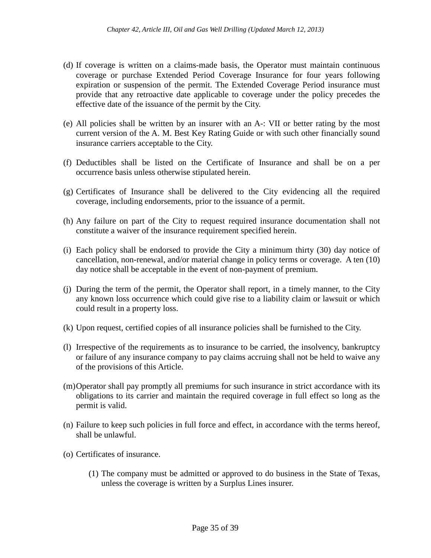- (d) If coverage is written on a claims-made basis, the Operator must maintain continuous coverage or purchase Extended Period Coverage Insurance for four years following expiration or suspension of the permit. The Extended Coverage Period insurance must provide that any retroactive date applicable to coverage under the policy precedes the effective date of the issuance of the permit by the City.
- (e) All policies shall be written by an insurer with an A-: VII or better rating by the most current version of the A. M. Best Key Rating Guide or with such other financially sound insurance carriers acceptable to the City.
- (f) Deductibles shall be listed on the Certificate of Insurance and shall be on a per occurrence basis unless otherwise stipulated herein.
- (g) Certificates of Insurance shall be delivered to the City evidencing all the required coverage, including endorsements, prior to the issuance of a permit.
- (h) Any failure on part of the City to request required insurance documentation shall not constitute a waiver of the insurance requirement specified herein.
- (i) Each policy shall be endorsed to provide the City a minimum thirty (30) day notice of cancellation, non-renewal, and/or material change in policy terms or coverage. A ten (10) day notice shall be acceptable in the event of non-payment of premium.
- (j) During the term of the permit, the Operator shall report, in a timely manner, to the City any known loss occurrence which could give rise to a liability claim or lawsuit or which could result in a property loss.
- (k) Upon request, certified copies of all insurance policies shall be furnished to the City.
- (l) Irrespective of the requirements as to insurance to be carried, the insolvency, bankruptcy or failure of any insurance company to pay claims accruing shall not be held to waive any of the provisions of this Article.
- (m)Operator shall pay promptly all premiums for such insurance in strict accordance with its obligations to its carrier and maintain the required coverage in full effect so long as the permit is valid.
- (n) Failure to keep such policies in full force and effect, in accordance with the terms hereof, shall be unlawful.
- (o) Certificates of insurance.
	- (1) The company must be admitted or approved to do business in the State of Texas, unless the coverage is written by a Surplus Lines insurer.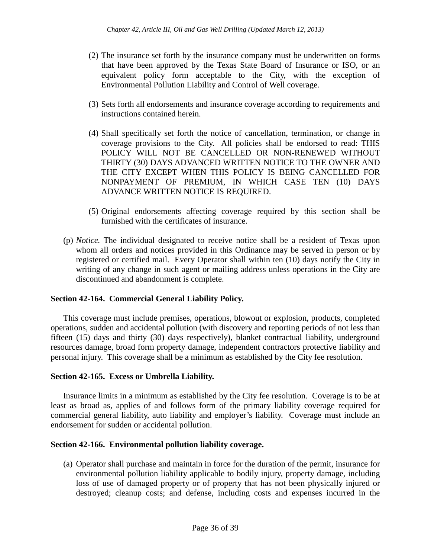- (2) The insurance set forth by the insurance company must be underwritten on forms that have been approved by the Texas State Board of Insurance or ISO, or an equivalent policy form acceptable to the City, with the exception of Environmental Pollution Liability and Control of Well coverage.
- (3) Sets forth all endorsements and insurance coverage according to requirements and instructions contained herein.
- (4) Shall specifically set forth the notice of cancellation, termination, or change in coverage provisions to the City. All policies shall be endorsed to read: THIS POLICY WILL NOT BE CANCELLED OR NON-RENEWED WITHOUT THIRTY (30) DAYS ADVANCED WRITTEN NOTICE TO THE OWNER AND THE CITY EXCEPT WHEN THIS POLICY IS BEING CANCELLED FOR NONPAYMENT OF PREMIUM, IN WHICH CASE TEN (10) DAYS ADVANCE WRITTEN NOTICE IS REQUIRED.
- (5) Original endorsements affecting coverage required by this section shall be furnished with the certificates of insurance.
- (p) *Notice.* The individual designated to receive notice shall be a resident of Texas upon whom all orders and notices provided in this Ordinance may be served in person or by registered or certified mail. Every Operator shall within ten (10) days notify the City in writing of any change in such agent or mailing address unless operations in the City are discontinued and abandonment is complete.

# **Section 42-164. Commercial General Liability Policy.**

This coverage must include premises, operations, blowout or explosion, products, completed operations, sudden and accidental pollution (with discovery and reporting periods of not less than fifteen (15) days and thirty (30) days respectively), blanket contractual liability, underground resources damage, broad form property damage, independent contractors protective liability and personal injury. This coverage shall be a minimum as established by the City fee resolution.

## **Section 42-165. Excess or Umbrella Liability.**

Insurance limits in a minimum as established by the City fee resolution. Coverage is to be at least as broad as, applies of and follows form of the primary liability coverage required for commercial general liability, auto liability and employer's liability. Coverage must include an endorsement for sudden or accidental pollution.

## **Section 42-166. Environmental pollution liability coverage.**

(a) Operator shall purchase and maintain in force for the duration of the permit, insurance for environmental pollution liability applicable to bodily injury, property damage, including loss of use of damaged property or of property that has not been physically injured or destroyed; cleanup costs; and defense, including costs and expenses incurred in the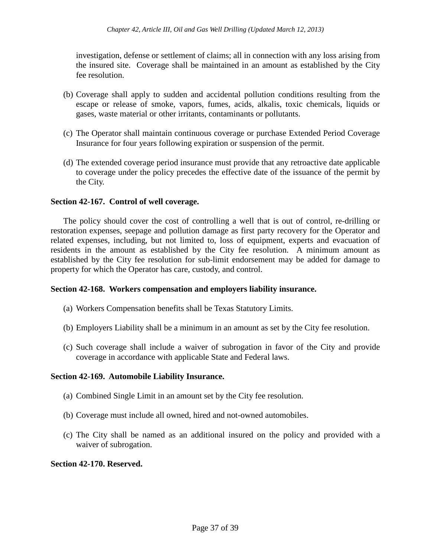investigation, defense or settlement of claims; all in connection with any loss arising from the insured site. Coverage shall be maintained in an amount as established by the City fee resolution.

- (b) Coverage shall apply to sudden and accidental pollution conditions resulting from the escape or release of smoke, vapors, fumes, acids, alkalis, toxic chemicals, liquids or gases, waste material or other irritants, contaminants or pollutants.
- (c) The Operator shall maintain continuous coverage or purchase Extended Period Coverage Insurance for four years following expiration or suspension of the permit.
- (d) The extended coverage period insurance must provide that any retroactive date applicable to coverage under the policy precedes the effective date of the issuance of the permit by the City.

## **Section 42-167. Control of well coverage.**

The policy should cover the cost of controlling a well that is out of control, re-drilling or restoration expenses, seepage and pollution damage as first party recovery for the Operator and related expenses, including, but not limited to, loss of equipment, experts and evacuation of residents in the amount as established by the City fee resolution. A minimum amount as established by the City fee resolution for sub-limit endorsement may be added for damage to property for which the Operator has care, custody, and control.

## **Section 42-168. Workers compensation and employers liability insurance.**

- (a) Workers Compensation benefits shall be Texas Statutory Limits.
- (b) Employers Liability shall be a minimum in an amount as set by the City fee resolution.
- (c) Such coverage shall include a waiver of subrogation in favor of the City and provide coverage in accordance with applicable State and Federal laws.

## **Section 42-169. Automobile Liability Insurance.**

- (a) Combined Single Limit in an amount set by the City fee resolution.
- (b) Coverage must include all owned, hired and not-owned automobiles.
- (c) The City shall be named as an additional insured on the policy and provided with a waiver of subrogation.

### **Section 42-170. Reserved.**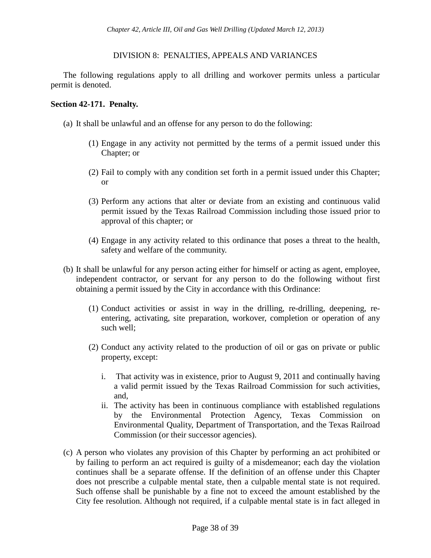## DIVISION 8: PENALTIES, APPEALS AND VARIANCES

The following regulations apply to all drilling and workover permits unless a particular permit is denoted.

### **Section 42-171. Penalty.**

- (a) It shall be unlawful and an offense for any person to do the following:
	- (1) Engage in any activity not permitted by the terms of a permit issued under this Chapter; or
	- (2) Fail to comply with any condition set forth in a permit issued under this Chapter; or
	- (3) Perform any actions that alter or deviate from an existing and continuous valid permit issued by the Texas Railroad Commission including those issued prior to approval of this chapter; or
	- (4) Engage in any activity related to this ordinance that poses a threat to the health, safety and welfare of the community.
- (b) It shall be unlawful for any person acting either for himself or acting as agent, employee, independent contractor, or servant for any person to do the following without first obtaining a permit issued by the City in accordance with this Ordinance:
	- (1) Conduct activities or assist in way in the drilling, re-drilling, deepening, reentering, activating, site preparation, workover, completion or operation of any such well;
	- (2) Conduct any activity related to the production of oil or gas on private or public property, except:
		- i. That activity was in existence, prior to August 9, 2011 and continually having a valid permit issued by the Texas Railroad Commission for such activities, and,
		- ii. The activity has been in continuous compliance with established regulations by the Environmental Protection Agency, Texas Commission on Environmental Quality, Department of Transportation, and the Texas Railroad Commission (or their successor agencies).
- (c) A person who violates any provision of this Chapter by performing an act prohibited or by failing to perform an act required is guilty of a misdemeanor; each day the violation continues shall be a separate offense. If the definition of an offense under this Chapter does not prescribe a culpable mental state, then a culpable mental state is not required. Such offense shall be punishable by a fine not to exceed the amount established by the City fee resolution. Although not required, if a culpable mental state is in fact alleged in